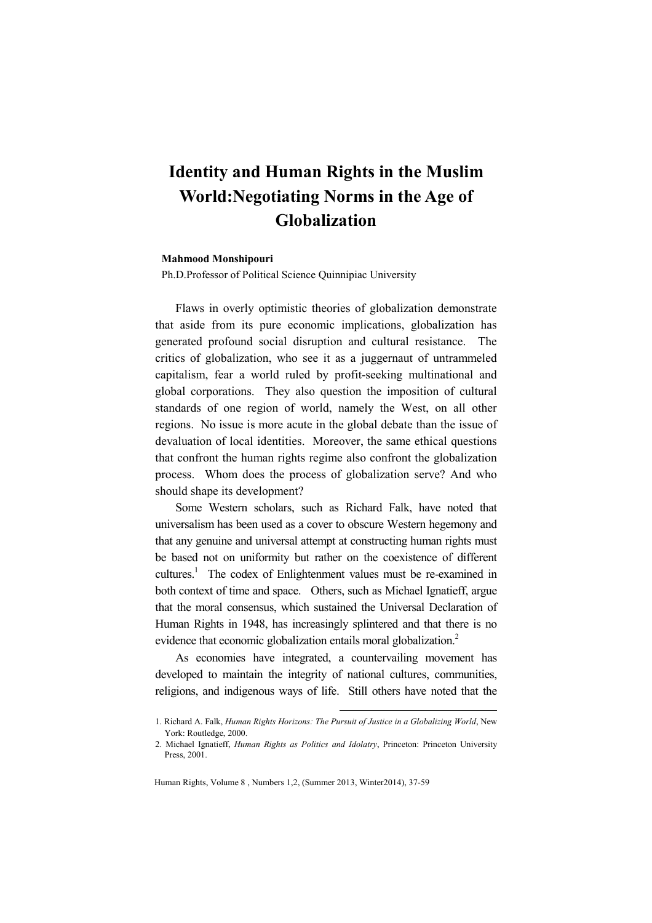# Identity and Human Rights in the Muslim World:Negotiating Norms in the Age of Globalization

# Mahmood Monshipouri

Ph.D.Professor of Political Science Quinnipiac University

Flaws in overly optimistic theories of globalization demonstrate that aside from its pure economic implications, globalization has generated profound social disruption and cultural resistance. The critics of globalization, who see it as a juggernaut of untrammeled capitalism, fear a world ruled by profit-seeking multinational and global corporations. They also question the imposition of cultural standards of one region of world, namely the West, on all other regions. No issue is more acute in the global debate than the issue of devaluation of local identities. Moreover, the same ethical questions that confront the human rights regime also confront the globalization process. Whom does the process of globalization serve? And who should shape its development?

Some Western scholars, such as Richard Falk, have noted that universalism has been used as a cover to obscure Western hegemony and that any genuine and universal attempt at constructing human rights must be based not on uniformity but rather on the coexistence of different cultures.<sup>1</sup> The codex of Enlightenment values must be re-examined in both context of time and space. Others, such as Michael Ignatieff, argue that the moral consensus, which sustained the Universal Declaration of Human Rights in 1948, has increasingly splintered and that there is no evidence that economic globalization entails moral globalization.<sup>2</sup>

As economies have integrated, a countervailing movement has developed to maintain the integrity of national cultures, communities, religions, and indigenous ways of life. Still others have noted that the

<sup>1.</sup> Richard A. Falk, Human Rights Horizons: The Pursuit of Justice in a Globalizing World, New York: Routledge, 2000.

<sup>2.</sup> Michael Ignatieff, Human Rights as Politics and Idolatry, Princeton: Princeton University Press, 2001.

Human Rights, Volume 8 , Numbers 1,2, (Summer 2013, Winter2014), 37-59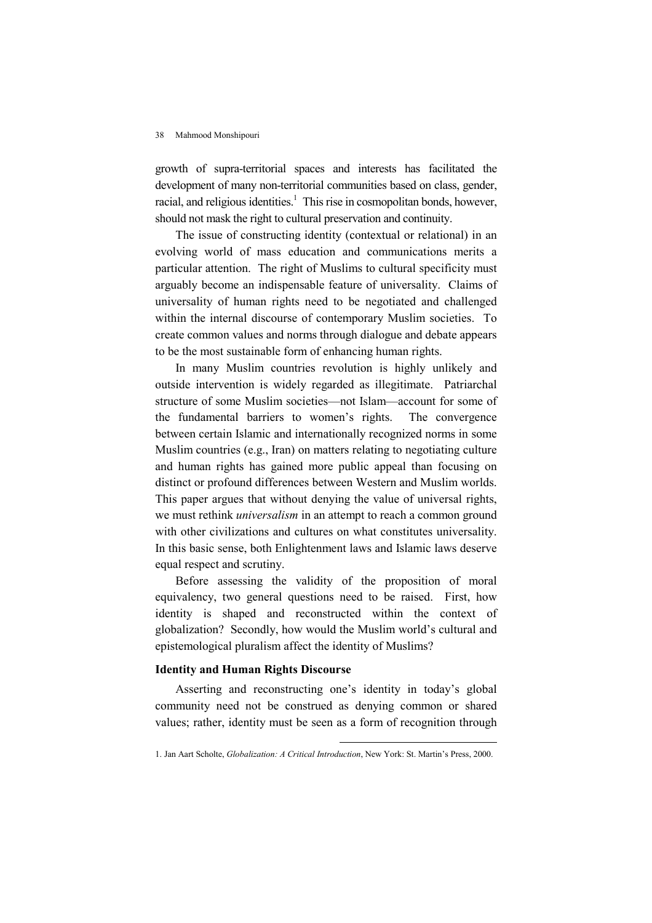growth of supra-territorial spaces and interests has facilitated the development of many non-territorial communities based on class, gender, racial, and religious identities.<sup>1</sup> This rise in cosmopolitan bonds, however, should not mask the right to cultural preservation and continuity.

The issue of constructing identity (contextual or relational) in an evolving world of mass education and communications merits a particular attention. The right of Muslims to cultural specificity must arguably become an indispensable feature of universality. Claims of universality of human rights need to be negotiated and challenged within the internal discourse of contemporary Muslim societies. To create common values and norms through dialogue and debate appears to be the most sustainable form of enhancing human rights.

In many Muslim countries revolution is highly unlikely and outside intervention is widely regarded as illegitimate. Patriarchal structure of some Muslim societies—not Islam—account for some of the fundamental barriers to women's rights. The convergence between certain Islamic and internationally recognized norms in some Muslim countries (e.g., Iran) on matters relating to negotiating culture and human rights has gained more public appeal than focusing on distinct or profound differences between Western and Muslim worlds. This paper argues that without denying the value of universal rights, we must rethink universalism in an attempt to reach a common ground with other civilizations and cultures on what constitutes universality. In this basic sense, both Enlightenment laws and Islamic laws deserve equal respect and scrutiny.

Before assessing the validity of the proposition of moral equivalency, two general questions need to be raised. First, how identity is shaped and reconstructed within the context of globalization? Secondly, how would the Muslim world's cultural and epistemological pluralism affect the identity of Muslims?

# Identity and Human Rights Discourse

Asserting and reconstructing one's identity in today's global community need not be construed as denying common or shared values; rather, identity must be seen as a form of recognition through

<sup>1.</sup> Jan Aart Scholte, Globalization: A Critical Introduction, New York: St. Martin's Press, 2000.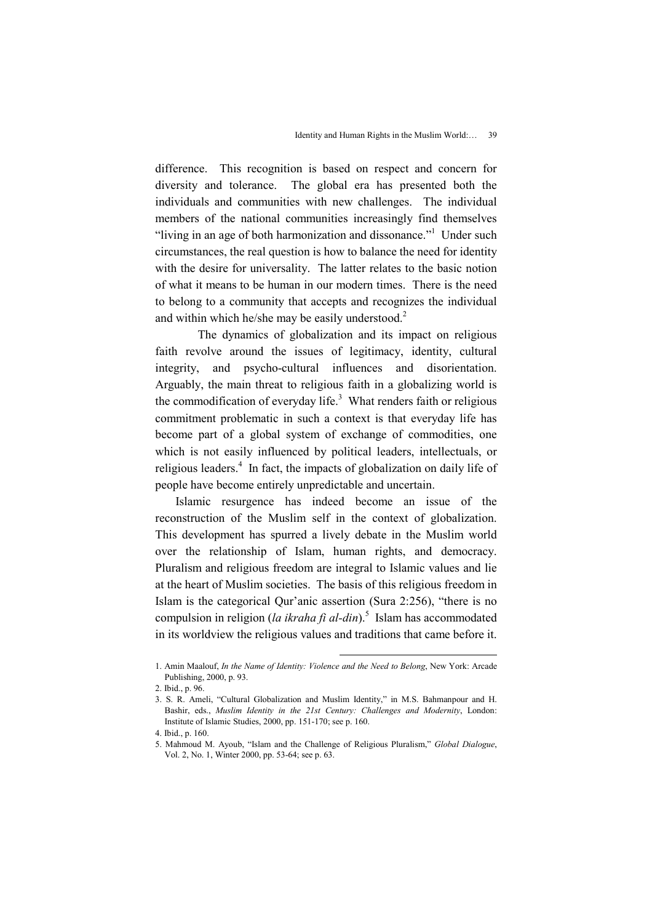difference. This recognition is based on respect and concern for diversity and tolerance. The global era has presented both the individuals and communities with new challenges. The individual members of the national communities increasingly find themselves "living in an age of both harmonization and dissonance."<sup>1</sup> Under such circumstances, the real question is how to balance the need for identity with the desire for universality. The latter relates to the basic notion of what it means to be human in our modern times. There is the need to belong to a community that accepts and recognizes the individual and within which he/she may be easily understood.<sup>2</sup>

 The dynamics of globalization and its impact on religious faith revolve around the issues of legitimacy, identity, cultural integrity, and psycho-cultural influences and disorientation. Arguably, the main threat to religious faith in a globalizing world is the commodification of everyday life. $3$  What renders faith or religious commitment problematic in such a context is that everyday life has become part of a global system of exchange of commodities, one which is not easily influenced by political leaders, intellectuals, or religious leaders.<sup>4</sup> In fact, the impacts of globalization on daily life of people have become entirely unpredictable and uncertain.

Islamic resurgence has indeed become an issue of the reconstruction of the Muslim self in the context of globalization. This development has spurred a lively debate in the Muslim world over the relationship of Islam, human rights, and democracy. Pluralism and religious freedom are integral to Islamic values and lie at the heart of Muslim societies. The basis of this religious freedom in Islam is the categorical Qur'anic assertion (Sura 2:256), "there is no compulsion in religion (la ikraha fi al-din).<sup>5</sup> Islam has accommodated in its worldview the religious values and traditions that came before it.

<sup>1.</sup> Amin Maalouf, In the Name of Identity: Violence and the Need to Belong, New York: Arcade Publishing, 2000, p. 93.

<sup>2.</sup> Ibid., p. 96.

<sup>3.</sup> S. R. Ameli, "Cultural Globalization and Muslim Identity," in M.S. Bahmanpour and H. Bashir, eds., Muslim Identity in the 21st Century: Challenges and Modernity, London: Institute of Islamic Studies, 2000, pp. 151-170; see p. 160.

<sup>4.</sup> Ibid., p. 160.

<sup>5.</sup> Mahmoud M. Ayoub, "Islam and the Challenge of Religious Pluralism," Global Dialogue, Vol. 2, No. 1, Winter 2000, pp. 53-64; see p. 63.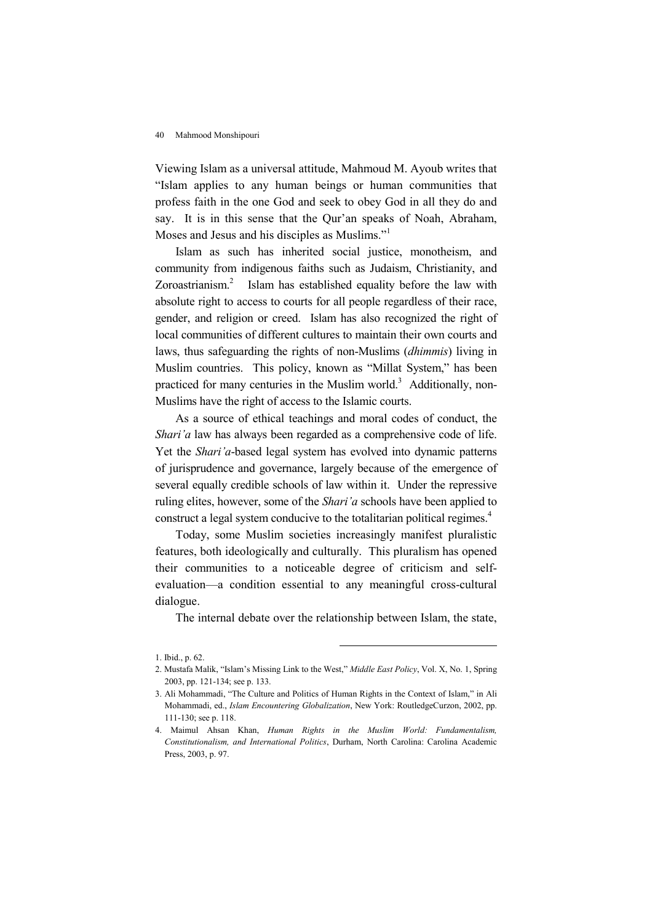Viewing Islam as a universal attitude, Mahmoud M. Ayoub writes that "Islam applies to any human beings or human communities that profess faith in the one God and seek to obey God in all they do and say. It is in this sense that the Qur'an speaks of Noah, Abraham, Moses and Jesus and his disciples as Muslims."<sup>1</sup>

Islam as such has inherited social justice, monotheism, and community from indigenous faiths such as Judaism, Christianity, and Zoroastrianism. $2$  Islam has established equality before the law with absolute right to access to courts for all people regardless of their race, gender, and religion or creed. Islam has also recognized the right of local communities of different cultures to maintain their own courts and laws, thus safeguarding the rights of non-Muslims (dhimmis) living in Muslim countries. This policy, known as "Millat System," has been practiced for many centuries in the Muslim world.<sup>3</sup> Additionally, non-Muslims have the right of access to the Islamic courts.

As a source of ethical teachings and moral codes of conduct, the Shari'a law has always been regarded as a comprehensive code of life. Yet the Shari'a-based legal system has evolved into dynamic patterns of jurisprudence and governance, largely because of the emergence of several equally credible schools of law within it. Under the repressive ruling elites, however, some of the *Shari'a* schools have been applied to construct a legal system conducive to the totalitarian political regimes.<sup>4</sup>

Today, some Muslim societies increasingly manifest pluralistic features, both ideologically and culturally. This pluralism has opened their communities to a noticeable degree of criticism and selfevaluation—a condition essential to any meaningful cross-cultural dialogue.

The internal debate over the relationship between Islam, the state,

<sup>1.</sup> Ibid., p. 62.

<sup>2.</sup> Mustafa Malik, "Islam's Missing Link to the West," Middle East Policy, Vol. X, No. 1, Spring 2003, pp. 121-134; see p. 133.

<sup>3.</sup> Ali Mohammadi, "The Culture and Politics of Human Rights in the Context of Islam," in Ali Mohammadi, ed., Islam Encountering Globalization, New York: RoutledgeCurzon, 2002, pp. 111-130; see p. 118.

<sup>4.</sup> Maimul Ahsan Khan, Human Rights in the Muslim World: Fundamentalism, Constitutionalism, and International Politics, Durham, North Carolina: Carolina Academic Press, 2003, p. 97.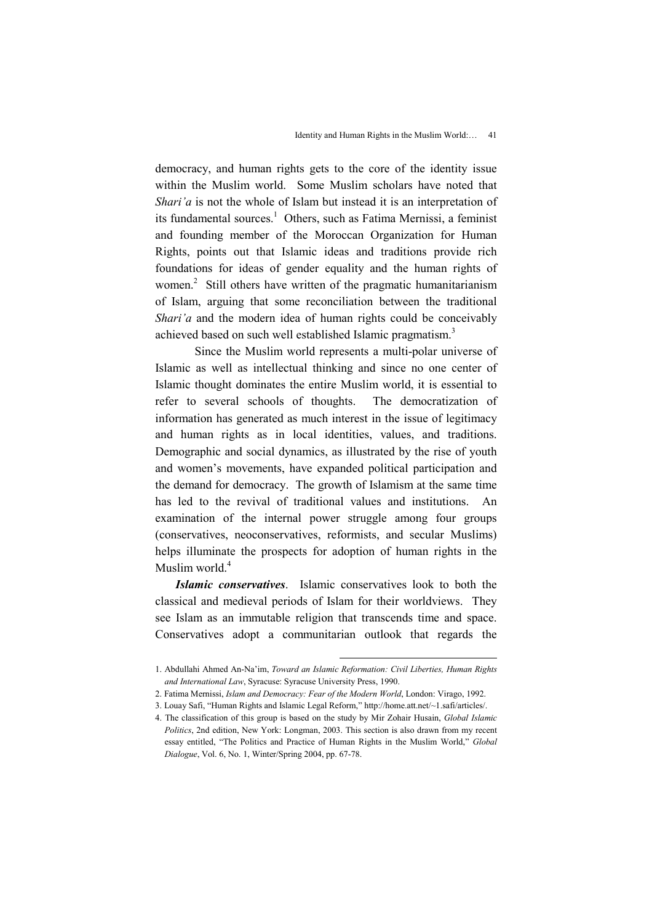democracy, and human rights gets to the core of the identity issue within the Muslim world. Some Muslim scholars have noted that Shari'a is not the whole of Islam but instead it is an interpretation of its fundamental sources.<sup>1</sup> Others, such as Fatima Mernissi, a feminist and founding member of the Moroccan Organization for Human Rights, points out that Islamic ideas and traditions provide rich foundations for ideas of gender equality and the human rights of women.<sup>2</sup> Still others have written of the pragmatic humanitarianism of Islam, arguing that some reconciliation between the traditional Shari'a and the modern idea of human rights could be conceivably achieved based on such well established Islamic pragmatism.<sup>3</sup>

 Since the Muslim world represents a multi-polar universe of Islamic as well as intellectual thinking and since no one center of Islamic thought dominates the entire Muslim world, it is essential to refer to several schools of thoughts. The democratization of information has generated as much interest in the issue of legitimacy and human rights as in local identities, values, and traditions. Demographic and social dynamics, as illustrated by the rise of youth and women's movements, have expanded political participation and the demand for democracy. The growth of Islamism at the same time has led to the revival of traditional values and institutions. An examination of the internal power struggle among four groups (conservatives, neoconservatives, reformists, and secular Muslims) helps illuminate the prospects for adoption of human rights in the Muslim world.<sup>4</sup>

Islamic conservatives. Islamic conservatives look to both the classical and medieval periods of Islam for their worldviews. They see Islam as an immutable religion that transcends time and space. Conservatives adopt a communitarian outlook that regards the

<sup>1.</sup> Abdullahi Ahmed An-Na'im, Toward an Islamic Reformation: Civil Liberties, Human Rights and International Law, Syracuse: Syracuse University Press, 1990.

<sup>2.</sup> Fatima Mernissi, Islam and Democracy: Fear of the Modern World, London: Virago, 1992.

<sup>3.</sup> Louay Safi, "Human Rights and Islamic Legal Reform," http://home.att.net/~1.safi/articles/.

<sup>4.</sup> The classification of this group is based on the study by Mir Zohair Husain, Global Islamic Politics, 2nd edition, New York: Longman, 2003. This section is also drawn from my recent essay entitled, "The Politics and Practice of Human Rights in the Muslim World," Global Dialogue, Vol. 6, No. 1, Winter/Spring 2004, pp. 67-78.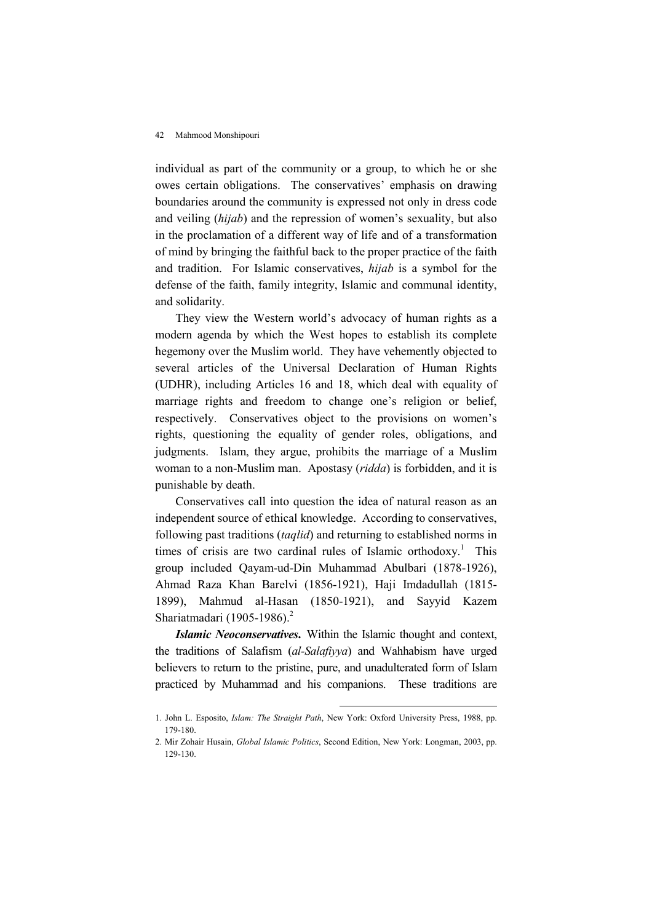individual as part of the community or a group, to which he or she owes certain obligations. The conservatives' emphasis on drawing boundaries around the community is expressed not only in dress code and veiling *(hijab)* and the repression of women's sexuality, but also in the proclamation of a different way of life and of a transformation of mind by bringing the faithful back to the proper practice of the faith and tradition. For Islamic conservatives, hijab is a symbol for the defense of the faith, family integrity, Islamic and communal identity, and solidarity.

They view the Western world's advocacy of human rights as a modern agenda by which the West hopes to establish its complete hegemony over the Muslim world. They have vehemently objected to several articles of the Universal Declaration of Human Rights (UDHR), including Articles 16 and 18, which deal with equality of marriage rights and freedom to change one's religion or belief, respectively. Conservatives object to the provisions on women's rights, questioning the equality of gender roles, obligations, and judgments. Islam, they argue, prohibits the marriage of a Muslim woman to a non-Muslim man. Apostasy (ridda) is forbidden, and it is punishable by death.

Conservatives call into question the idea of natural reason as an independent source of ethical knowledge. According to conservatives, following past traditions (taqlid) and returning to established norms in times of crisis are two cardinal rules of Islamic orthodoxy.<sup>1</sup> This group included Qayam-ud-Din Muhammad Abulbari (1878-1926), Ahmad Raza Khan Barelvi (1856-1921), Haji Imdadullah (1815- 1899), Mahmud al-Hasan (1850-1921), and Sayyid Kazem Shariatmadari (1905-1986).<sup>2</sup>

Islamic Neoconservatives. Within the Islamic thought and context, the traditions of Salafism (al-Salafiyya) and Wahhabism have urged believers to return to the pristine, pure, and unadulterated form of Islam practiced by Muhammad and his companions. These traditions are

<sup>1.</sup> John L. Esposito, Islam: The Straight Path, New York: Oxford University Press, 1988, pp. 179-180.

<sup>2.</sup> Mir Zohair Husain, Global Islamic Politics, Second Edition, New York: Longman, 2003, pp. 129-130.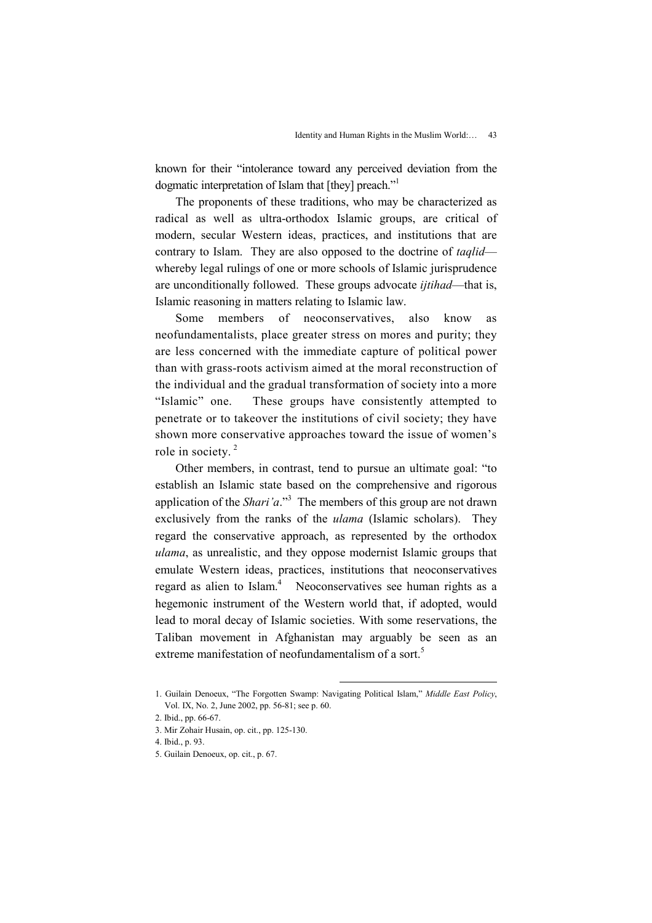known for their "intolerance toward any perceived deviation from the dogmatic interpretation of Islam that [they] preach."<sup>1</sup>

The proponents of these traditions, who may be characterized as radical as well as ultra-orthodox Islamic groups, are critical of modern, secular Western ideas, practices, and institutions that are contrary to Islam. They are also opposed to the doctrine of *taqlid* whereby legal rulings of one or more schools of Islamic jurisprudence are unconditionally followed. These groups advocate *ijtihad*—that is, Islamic reasoning in matters relating to Islamic law.

Some members of neoconservatives, also know as neofundamentalists, place greater stress on mores and purity; they are less concerned with the immediate capture of political power than with grass-roots activism aimed at the moral reconstruction of the individual and the gradual transformation of society into a more "Islamic" one. These groups have consistently attempted to penetrate or to takeover the institutions of civil society; they have shown more conservative approaches toward the issue of women's role in society. $2$ 

Other members, in contrast, tend to pursue an ultimate goal: "to establish an Islamic state based on the comprehensive and rigorous application of the *Shari'a*."<sup>3</sup> The members of this group are not drawn exclusively from the ranks of the ulama (Islamic scholars). They regard the conservative approach, as represented by the orthodox ulama, as unrealistic, and they oppose modernist Islamic groups that emulate Western ideas, practices, institutions that neoconservatives regard as alien to Islam.<sup>4</sup> Neoconservatives see human rights as a hegemonic instrument of the Western world that, if adopted, would lead to moral decay of Islamic societies. With some reservations, the Taliban movement in Afghanistan may arguably be seen as an extreme manifestation of neofundamentalism of a sort.<sup>5</sup>

<sup>1.</sup> Guilain Denoeux, "The Forgotten Swamp: Navigating Political Islam," Middle East Policy, Vol. IX, No. 2, June 2002, pp. 56-81; see p. 60.

<sup>2.</sup> Ibid., pp. 66-67.

<sup>3.</sup> Mir Zohair Husain, op. cit., pp. 125-130.

<sup>4.</sup> Ibid., p. 93.

<sup>5.</sup> Guilain Denoeux, op. cit., p. 67.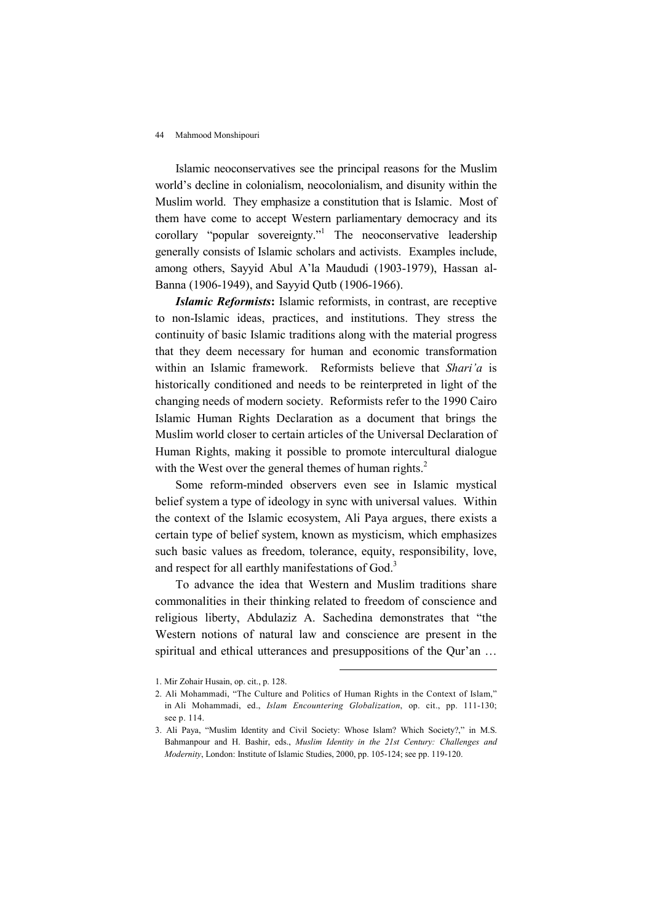Islamic neoconservatives see the principal reasons for the Muslim world's decline in colonialism, neocolonialism, and disunity within the Muslim world. They emphasize a constitution that is Islamic. Most of them have come to accept Western parliamentary democracy and its corollary "popular sovereignty."<sup>1</sup> The neoconservative leadership generally consists of Islamic scholars and activists. Examples include, among others, Sayyid Abul A'la Maududi (1903-1979), Hassan al-Banna (1906-1949), and Sayyid Qutb (1906-1966).

Islamic Reformists: Islamic reformists, in contrast, are receptive to non-Islamic ideas, practices, and institutions. They stress the continuity of basic Islamic traditions along with the material progress that they deem necessary for human and economic transformation within an Islamic framework. Reformists believe that *Shari'a* is historically conditioned and needs to be reinterpreted in light of the changing needs of modern society. Reformists refer to the 1990 Cairo Islamic Human Rights Declaration as a document that brings the Muslim world closer to certain articles of the Universal Declaration of Human Rights, making it possible to promote intercultural dialogue with the West over the general themes of human rights. $2$ 

Some reform-minded observers even see in Islamic mystical belief system a type of ideology in sync with universal values. Within the context of the Islamic ecosystem, Ali Paya argues, there exists a certain type of belief system, known as mysticism, which emphasizes such basic values as freedom, tolerance, equity, responsibility, love, and respect for all earthly manifestations of God.<sup>3</sup>

To advance the idea that Western and Muslim traditions share commonalities in their thinking related to freedom of conscience and religious liberty, Abdulaziz A. Sachedina demonstrates that "the Western notions of natural law and conscience are present in the spiritual and ethical utterances and presuppositions of the Qur'an ...

<sup>1.</sup> Mir Zohair Husain, op. cit., p. 128.

<sup>2.</sup> Ali Mohammadi, "The Culture and Politics of Human Rights in the Context of Islam," in Ali Mohammadi, ed., Islam Encountering Globalization, op. cit., pp. 111-130; see p. 114.

<sup>3.</sup> Ali Paya, "Muslim Identity and Civil Society: Whose Islam? Which Society?," in M.S. Bahmanpour and H. Bashir, eds., Muslim Identity in the 21st Century: Challenges and Modernity, London: Institute of Islamic Studies, 2000, pp. 105-124; see pp. 119-120.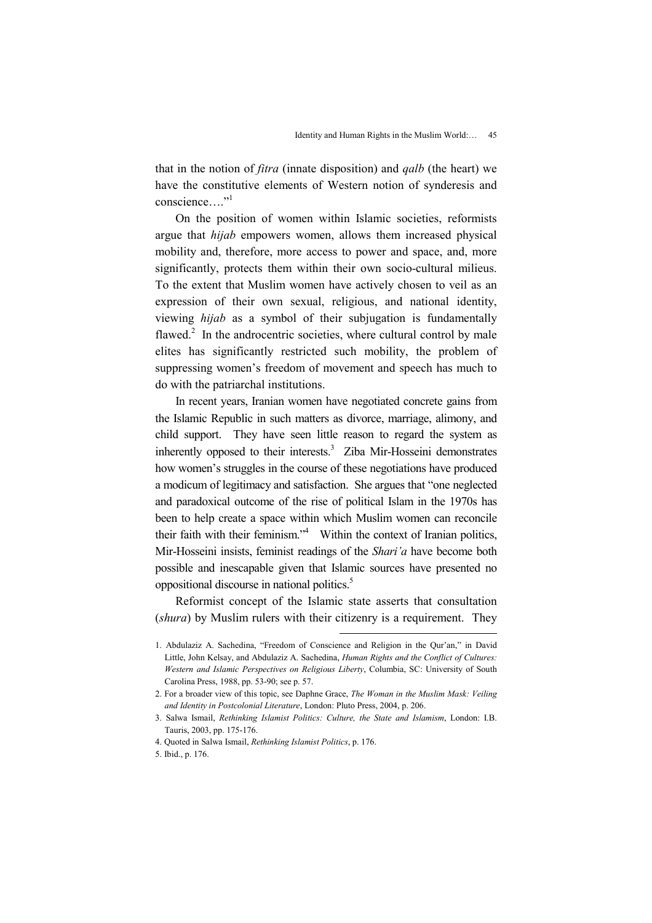that in the notion of fitra (innate disposition) and qalb (the heart) we have the constitutive elements of Western notion of synderesis and conscience "

On the position of women within Islamic societies, reformists argue that hijab empowers women, allows them increased physical mobility and, therefore, more access to power and space, and, more significantly, protects them within their own socio-cultural milieus. To the extent that Muslim women have actively chosen to veil as an expression of their own sexual, religious, and national identity, viewing hijab as a symbol of their subjugation is fundamentally flawed. $2$  In the androcentric societies, where cultural control by male elites has significantly restricted such mobility, the problem of suppressing women's freedom of movement and speech has much to do with the patriarchal institutions.

In recent years, Iranian women have negotiated concrete gains from the Islamic Republic in such matters as divorce, marriage, alimony, and child support. They have seen little reason to regard the system as inherently opposed to their interests.<sup>3</sup> Ziba Mir-Hosseini demonstrates how women's struggles in the course of these negotiations have produced a modicum of legitimacy and satisfaction. She argues that "one neglected and paradoxical outcome of the rise of political Islam in the 1970s has been to help create a space within which Muslim women can reconcile their faith with their feminism."<sup>4</sup> Within the context of Iranian politics, Mir-Hosseini insists, feminist readings of the Shari'a have become both possible and inescapable given that Islamic sources have presented no oppositional discourse in national politics.<sup>5</sup>

Reformist concept of the Islamic state asserts that consultation (shura) by Muslim rulers with their citizenry is a requirement. They

<sup>1.</sup> Abdulaziz A. Sachedina, "Freedom of Conscience and Religion in the Qur'an," in David Little, John Kelsay, and Abdulaziz A. Sachedina, Human Rights and the Conflict of Cultures: Western and Islamic Perspectives on Religious Liberty, Columbia, SC: University of South Carolina Press, 1988, pp. 53-90; see p. 57.

<sup>2.</sup> For a broader view of this topic, see Daphne Grace, The Woman in the Muslim Mask: Veiling and Identity in Postcolonial Literature, London: Pluto Press, 2004, p. 206.

<sup>3.</sup> Salwa Ismail, Rethinking Islamist Politics: Culture, the State and Islamism, London: I.B. Tauris, 2003, pp. 175-176.

<sup>4.</sup> Quoted in Salwa Ismail, Rethinking Islamist Politics, p. 176.

<sup>5.</sup> Ibid., p. 176.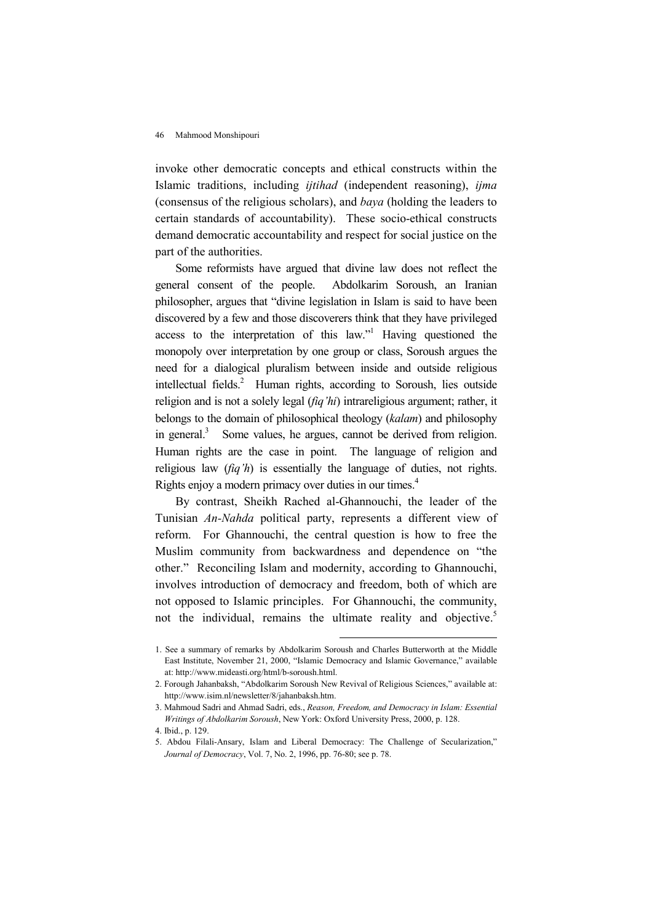invoke other democratic concepts and ethical constructs within the Islamic traditions, including *ijtihad* (independent reasoning), *ijma* (consensus of the religious scholars), and baya (holding the leaders to certain standards of accountability). These socio-ethical constructs demand democratic accountability and respect for social justice on the part of the authorities.

Some reformists have argued that divine law does not reflect the general consent of the people. Abdolkarim Soroush, an Iranian philosopher, argues that "divine legislation in Islam is said to have been discovered by a few and those discoverers think that they have privileged access to the interpretation of this law."<sup>1</sup> Having questioned the monopoly over interpretation by one group or class, Soroush argues the need for a dialogical pluralism between inside and outside religious intellectual fields.<sup>2</sup> Human rights, according to Soroush, lies outside religion and is not a solely legal  $(fiq'hi)$  intrareligious argument; rather, it belongs to the domain of philosophical theology (kalam) and philosophy in general.<sup>3</sup> Some values, he argues, cannot be derived from religion. Human rights are the case in point. The language of religion and religious law  $(fiq'h)$  is essentially the language of duties, not rights. Rights enjoy a modern primacy over duties in our times.<sup>4</sup>

By contrast, Sheikh Rached al-Ghannouchi, the leader of the Tunisian An-Nahda political party, represents a different view of reform. For Ghannouchi, the central question is how to free the Muslim community from backwardness and dependence on "the other." Reconciling Islam and modernity, according to Ghannouchi, involves introduction of democracy and freedom, both of which are not opposed to Islamic principles. For Ghannouchi, the community, not the individual, remains the ultimate reality and objective.<sup>5</sup>

<sup>1.</sup> See a summary of remarks by Abdolkarim Soroush and Charles Butterworth at the Middle East Institute, November 21, 2000, "Islamic Democracy and Islamic Governance," available at: http://www.mideasti.org/html/b-soroush.html.

<sup>2.</sup> Forough Jahanbaksh, "Abdolkarim Soroush New Revival of Religious Sciences," available at: http://www.isim.nl/newsletter/8/jahanbaksh.htm.

<sup>3.</sup> Mahmoud Sadri and Ahmad Sadri, eds., Reason, Freedom, and Democracy in Islam: Essential Writings of Abdolkarim Soroush, New York: Oxford University Press, 2000, p. 128.

<sup>4.</sup> Ibid., p. 129.

<sup>5.</sup> Abdou Filali-Ansary, Islam and Liberal Democracy: The Challenge of Secularization," Journal of Democracy, Vol. 7, No. 2, 1996, pp. 76-80; see p. 78.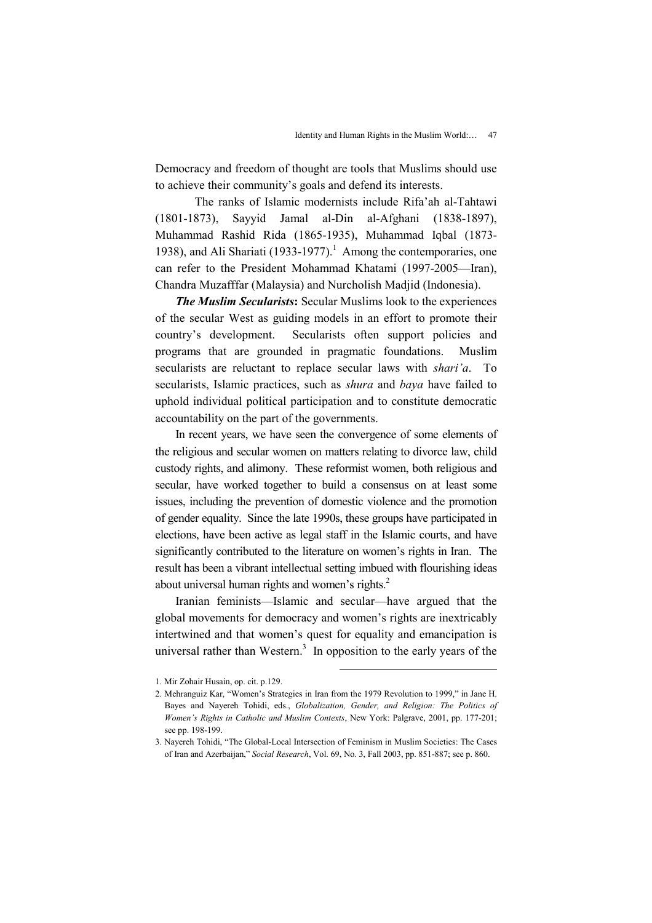Democracy and freedom of thought are tools that Muslims should use to achieve their community's goals and defend its interests.

 The ranks of Islamic modernists include Rifa'ah al-Tahtawi (1801-1873), Sayyid Jamal al-Din al-Afghani (1838-1897), Muhammad Rashid Rida (1865-1935), Muhammad Iqbal (1873- 1938), and Ali Shariati (1933-1977).<sup>1</sup> Among the contemporaries, one can refer to the President Mohammad Khatami (1997-2005—Iran), Chandra Muzafffar (Malaysia) and Nurcholish Madjid (Indonesia).

**The Muslim Secularists:** Secular Muslims look to the experiences of the secular West as guiding models in an effort to promote their country's development. Secularists often support policies and programs that are grounded in pragmatic foundations. Muslim secularists are reluctant to replace secular laws with *shari'a*. To secularists, Islamic practices, such as *shura* and *baya* have failed to uphold individual political participation and to constitute democratic accountability on the part of the governments.

In recent years, we have seen the convergence of some elements of the religious and secular women on matters relating to divorce law, child custody rights, and alimony. These reformist women, both religious and secular, have worked together to build a consensus on at least some issues, including the prevention of domestic violence and the promotion of gender equality. Since the late 1990s, these groups have participated in elections, have been active as legal staff in the Islamic courts, and have significantly contributed to the literature on women's rights in Iran. The result has been a vibrant intellectual setting imbued with flourishing ideas about universal human rights and women's rights.<sup>2</sup>

Iranian feminists—Islamic and secular—have argued that the global movements for democracy and women's rights are inextricably intertwined and that women's quest for equality and emancipation is universal rather than Western.<sup>3</sup> In opposition to the early years of the

<sup>1.</sup> Mir Zohair Husain, op. cit. p.129.

<sup>2.</sup> Mehranguiz Kar, "Women's Strategies in Iran from the 1979 Revolution to 1999," in Jane H. Bayes and Nayereh Tohidi, eds., Globalization, Gender, and Religion: The Politics of Women's Rights in Catholic and Muslim Contexts, New York: Palgrave, 2001, pp. 177-201; see pp. 198-199.

<sup>3.</sup> Nayereh Tohidi, "The Global-Local Intersection of Feminism in Muslim Societies: The Cases of Iran and Azerbaijan," Social Research, Vol. 69, No. 3, Fall 2003, pp. 851-887; see p. 860.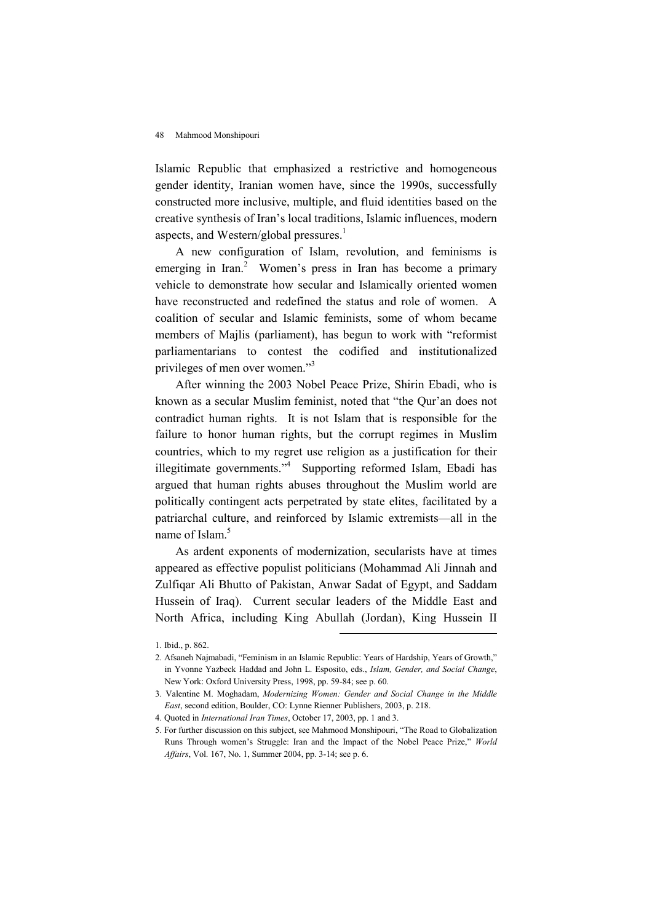Islamic Republic that emphasized a restrictive and homogeneous gender identity, Iranian women have, since the 1990s, successfully constructed more inclusive, multiple, and fluid identities based on the creative synthesis of Iran's local traditions, Islamic influences, modern aspects, and Western/global pressures.<sup>1</sup>

A new configuration of Islam, revolution, and feminisms is emerging in Iran.<sup>2</sup> Women's press in Iran has become a primary vehicle to demonstrate how secular and Islamically oriented women have reconstructed and redefined the status and role of women. A coalition of secular and Islamic feminists, some of whom became members of Majlis (parliament), has begun to work with "reformist parliamentarians to contest the codified and institutionalized privileges of men over women."<sup>3</sup>

After winning the 2003 Nobel Peace Prize, Shirin Ebadi, who is known as a secular Muslim feminist, noted that "the Qur'an does not contradict human rights. It is not Islam that is responsible for the failure to honor human rights, but the corrupt regimes in Muslim countries, which to my regret use religion as a justification for their illegitimate governments."<sup>4</sup> Supporting reformed Islam, Ebadi has argued that human rights abuses throughout the Muslim world are politically contingent acts perpetrated by state elites, facilitated by a patriarchal culture, and reinforced by Islamic extremists—all in the name of Islam.<sup>5</sup>

As ardent exponents of modernization, secularists have at times appeared as effective populist politicians (Mohammad Ali Jinnah and Zulfiqar Ali Bhutto of Pakistan, Anwar Sadat of Egypt, and Saddam Hussein of Iraq). Current secular leaders of the Middle East and North Africa, including King Abullah (Jordan), King Hussein II

<sup>1.</sup> Ibid., p. 862.

<sup>2.</sup> Afsaneh Najmabadi, "Feminism in an Islamic Republic: Years of Hardship, Years of Growth," in Yvonne Yazbeck Haddad and John L. Esposito, eds., Islam, Gender, and Social Change, New York: Oxford University Press, 1998, pp. 59-84; see p. 60.

<sup>3.</sup> Valentine M. Moghadam, Modernizing Women: Gender and Social Change in the Middle East, second edition, Boulder, CO: Lynne Rienner Publishers, 2003, p. 218.

<sup>4.</sup> Quoted in International Iran Times, October 17, 2003, pp. 1 and 3.

<sup>5.</sup> For further discussion on this subject, see Mahmood Monshipouri, "The Road to Globalization Runs Through women's Struggle: Iran and the Impact of the Nobel Peace Prize," World Affairs, Vol. 167, No. 1, Summer 2004, pp. 3-14; see p. 6.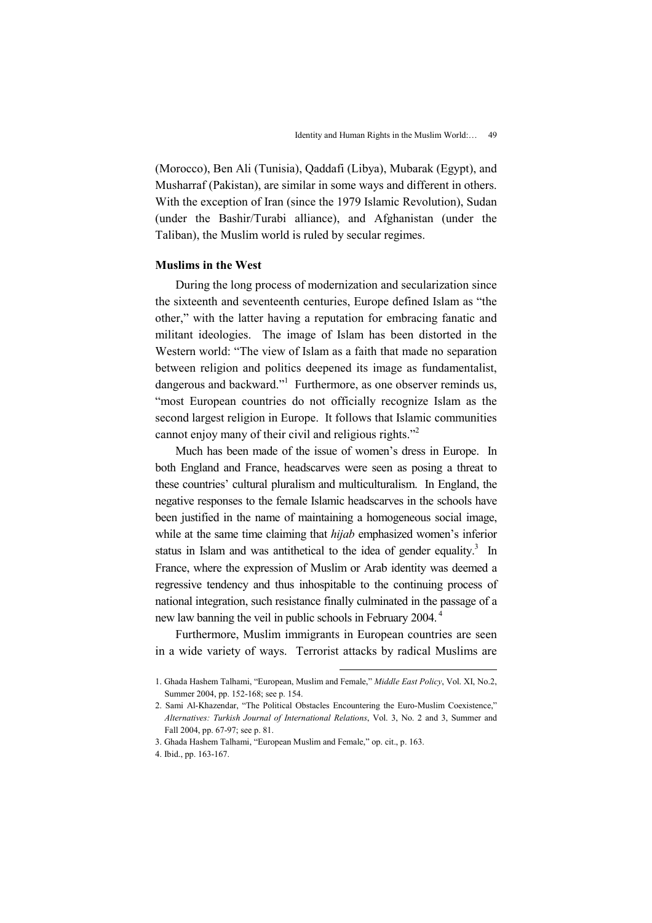(Morocco), Ben Ali (Tunisia), Qaddafi (Libya), Mubarak (Egypt), and Musharraf (Pakistan), are similar in some ways and different in others. With the exception of Iran (since the 1979 Islamic Revolution), Sudan (under the Bashir/Turabi alliance), and Afghanistan (under the Taliban), the Muslim world is ruled by secular regimes.

# Muslims in the West

During the long process of modernization and secularization since the sixteenth and seventeenth centuries, Europe defined Islam as "the other," with the latter having a reputation for embracing fanatic and militant ideologies. The image of Islam has been distorted in the Western world: "The view of Islam as a faith that made no separation between religion and politics deepened its image as fundamentalist, dangerous and backward."<sup>1</sup> Furthermore, as one observer reminds us, "most European countries do not officially recognize Islam as the second largest religion in Europe. It follows that Islamic communities cannot enjoy many of their civil and religious rights."<sup>2</sup>

Much has been made of the issue of women's dress in Europe. In both England and France, headscarves were seen as posing a threat to these countries' cultural pluralism and multiculturalism. In England, the negative responses to the female Islamic headscarves in the schools have been justified in the name of maintaining a homogeneous social image, while at the same time claiming that *hijab* emphasized women's inferior status in Islam and was antithetical to the idea of gender equality.<sup>3</sup> In France, where the expression of Muslim or Arab identity was deemed a regressive tendency and thus inhospitable to the continuing process of national integration, such resistance finally culminated in the passage of a new law banning the veil in public schools in February 2004.<sup>4</sup>

Furthermore, Muslim immigrants in European countries are seen in a wide variety of ways. Terrorist attacks by radical Muslims are

<sup>1.</sup> Ghada Hashem Talhami, "European, Muslim and Female," Middle East Policy, Vol. XI, No.2, Summer 2004, pp. 152-168; see p. 154.

<sup>2.</sup> Sami Al-Khazendar, "The Political Obstacles Encountering the Euro-Muslim Coexistence," Alternatives: Turkish Journal of International Relations, Vol. 3, No. 2 and 3, Summer and Fall 2004, pp. 67-97; see p. 81.

<sup>3.</sup> Ghada Hashem Talhami, "European Muslim and Female," op. cit., p. 163.

<sup>4.</sup> Ibid., pp. 163-167.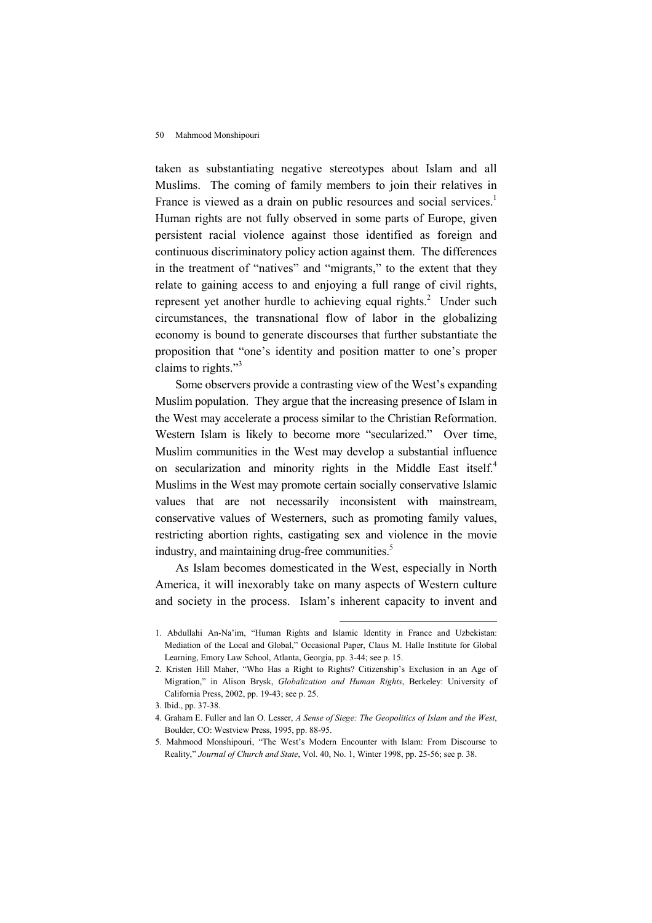taken as substantiating negative stereotypes about Islam and all Muslims. The coming of family members to join their relatives in France is viewed as a drain on public resources and social services.<sup>1</sup> Human rights are not fully observed in some parts of Europe, given persistent racial violence against those identified as foreign and continuous discriminatory policy action against them. The differences in the treatment of "natives" and "migrants," to the extent that they relate to gaining access to and enjoying a full range of civil rights, represent yet another hurdle to achieving equal rights.<sup>2</sup> Under such circumstances, the transnational flow of labor in the globalizing economy is bound to generate discourses that further substantiate the proposition that "one's identity and position matter to one's proper claims to rights."<sup>3</sup>

Some observers provide a contrasting view of the West's expanding Muslim population. They argue that the increasing presence of Islam in the West may accelerate a process similar to the Christian Reformation. Western Islam is likely to become more "secularized." Over time, Muslim communities in the West may develop a substantial influence on secularization and minority rights in the Middle East itself.<sup>4</sup> Muslims in the West may promote certain socially conservative Islamic values that are not necessarily inconsistent with mainstream, conservative values of Westerners, such as promoting family values, restricting abortion rights, castigating sex and violence in the movie industry, and maintaining drug-free communities.<sup>5</sup>

As Islam becomes domesticated in the West, especially in North America, it will inexorably take on many aspects of Western culture and society in the process. Islam's inherent capacity to invent and

<sup>1.</sup> Abdullahi An-Na'im, "Human Rights and Islamic Identity in France and Uzbekistan: Mediation of the Local and Global," Occasional Paper, Claus M. Halle Institute for Global Learning, Emory Law School, Atlanta, Georgia, pp. 3-44; see p. 15.

<sup>2.</sup> Kristen Hill Maher, "Who Has a Right to Rights? Citizenship's Exclusion in an Age of Migration," in Alison Brysk, Globalization and Human Rights, Berkeley: University of California Press, 2002, pp. 19-43; see p. 25.

<sup>3.</sup> Ibid., pp. 37-38.

<sup>4.</sup> Graham E. Fuller and Ian O. Lesser, A Sense of Siege: The Geopolitics of Islam and the West, Boulder, CO: Westview Press, 1995, pp. 88-95.

<sup>5.</sup> Mahmood Monshipouri, "The West's Modern Encounter with Islam: From Discourse to Reality," Journal of Church and State, Vol. 40, No. 1, Winter 1998, pp. 25-56; see p. 38.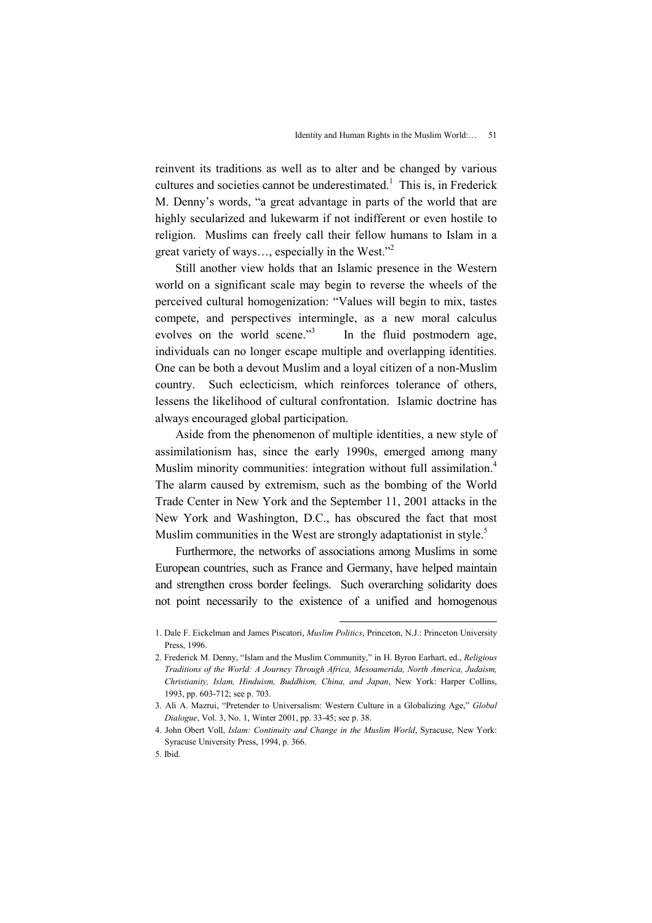reinvent its traditions as well as to alter and be changed by various cultures and societies cannot be underestimated.<sup>1</sup> This is, in Frederick M. Denny's words, "a great advantage in parts of the world that are highly secularized and lukewarm if not indifferent or even hostile to religion. Muslims can freely call their fellow humans to Islam in a great variety of ways…, especially in the West."<sup>2</sup>

Still another view holds that an Islamic presence in the Western world on a significant scale may begin to reverse the wheels of the perceived cultural homogenization: "Values will begin to mix, tastes compete, and perspectives intermingle, as a new moral calculus evolves on the world scene."<sup>3</sup> In the fluid postmodern age, individuals can no longer escape multiple and overlapping identities. One can be both a devout Muslim and a loyal citizen of a non-Muslim country. Such eclecticism, which reinforces tolerance of others, lessens the likelihood of cultural confrontation. Islamic doctrine has always encouraged global participation.

Aside from the phenomenon of multiple identities, a new style of assimilationism has, since the early 1990s, emerged among many Muslim minority communities: integration without full assimilation.<sup>4</sup> The alarm caused by extremism, such as the bombing of the World Trade Center in New York and the September 11, 2001 attacks in the New York and Washington, D.C., has obscured the fact that most Muslim communities in the West are strongly adaptationist in style.<sup>5</sup>

Furthermore, the networks of associations among Muslims in some European countries, such as France and Germany, have helped maintain and strengthen cross border feelings. Such overarching solidarity does not point necessarily to the existence of a unified and homogenous

<sup>1.</sup> Dale F. Eickelman and James Piscatori, Muslim Politics, Princeton, N.J.: Princeton University Press, 1996.

<sup>2.</sup> Frederick M. Denny, "Islam and the Muslim Community," in H. Byron Earhart, ed., Religious Traditions of the World: A Journey Through Africa, Mesoamerida, North America, Judaism, Christianity, Islam, Hinduism, Buddhism, China, and Japan, New York: Harper Collins, 1993, pp. 603-712; see p. 703.

<sup>3.</sup> Ali A. Mazrui, "Pretender to Universalism: Western Culture in a Globalizing Age," Global Dialogue, Vol. 3, No. 1, Winter 2001, pp. 33-45; see p. 38.

<sup>4.</sup> John Obert Voll, Islam: Continuity and Change in the Muslim World, Syracuse, New York: Syracuse University Press, 1994, p. 366.

<sup>5.</sup> Ibid.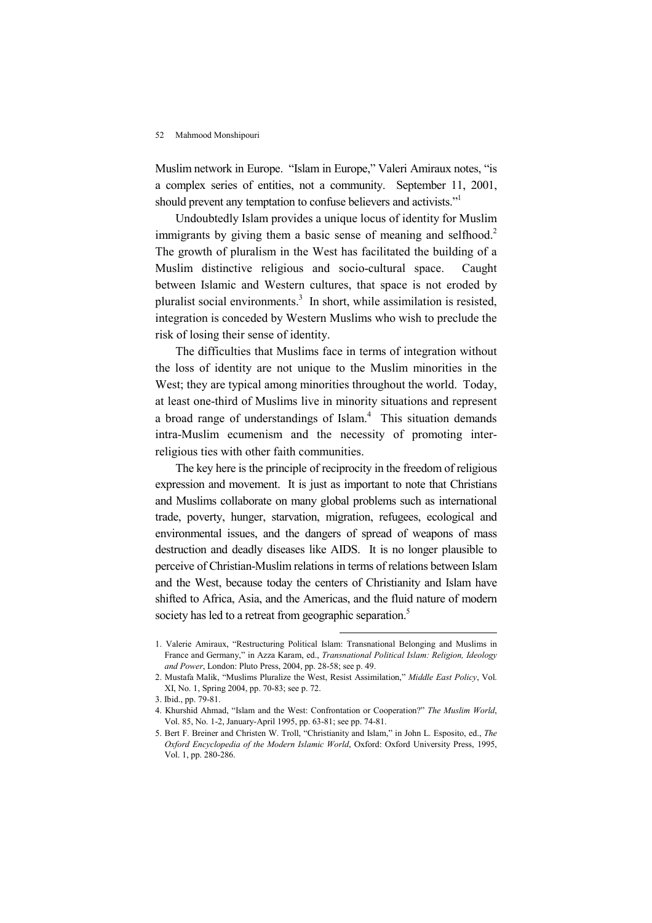Muslim network in Europe. "Islam in Europe," Valeri Amiraux notes, "is a complex series of entities, not a community. September 11, 2001, should prevent any temptation to confuse believers and activists."<sup>1</sup>

Undoubtedly Islam provides a unique locus of identity for Muslim immigrants by giving them a basic sense of meaning and selfhood.<sup>2</sup> The growth of pluralism in the West has facilitated the building of a Muslim distinctive religious and socio-cultural space. Caught between Islamic and Western cultures, that space is not eroded by pluralist social environments.<sup>3</sup> In short, while assimilation is resisted, integration is conceded by Western Muslims who wish to preclude the risk of losing their sense of identity.

The difficulties that Muslims face in terms of integration without the loss of identity are not unique to the Muslim minorities in the West; they are typical among minorities throughout the world. Today, at least one-third of Muslims live in minority situations and represent a broad range of understandings of Islam.<sup>4</sup> This situation demands intra-Muslim ecumenism and the necessity of promoting interreligious ties with other faith communities.

The key here is the principle of reciprocity in the freedom of religious expression and movement. It is just as important to note that Christians and Muslims collaborate on many global problems such as international trade, poverty, hunger, starvation, migration, refugees, ecological and environmental issues, and the dangers of spread of weapons of mass destruction and deadly diseases like AIDS. It is no longer plausible to perceive of Christian-Muslim relations in terms of relations between Islam and the West, because today the centers of Christianity and Islam have shifted to Africa, Asia, and the Americas, and the fluid nature of modern society has led to a retreat from geographic separation.<sup>5</sup>

<sup>1.</sup> Valerie Amiraux, "Restructuring Political Islam: Transnational Belonging and Muslims in France and Germany," in Azza Karam, ed., Transnational Political Islam: Religion, Ideology and Power, London: Pluto Press, 2004, pp. 28-58; see p. 49.

<sup>2.</sup> Mustafa Malik, "Muslims Pluralize the West, Resist Assimilation," Middle East Policy, Vol. XI, No. 1, Spring 2004, pp. 70-83; see p. 72.

<sup>3.</sup> Ibid., pp. 79-81.

<sup>4.</sup> Khurshid Ahmad, "Islam and the West: Confrontation or Cooperation?" The Muslim World, Vol. 85, No. 1-2, January-April 1995, pp. 63-81; see pp. 74-81.

<sup>5.</sup> Bert F. Breiner and Christen W. Troll, "Christianity and Islam," in John L. Esposito, ed., The Oxford Encyclopedia of the Modern Islamic World, Oxford: Oxford University Press, 1995, Vol. 1, pp. 280-286.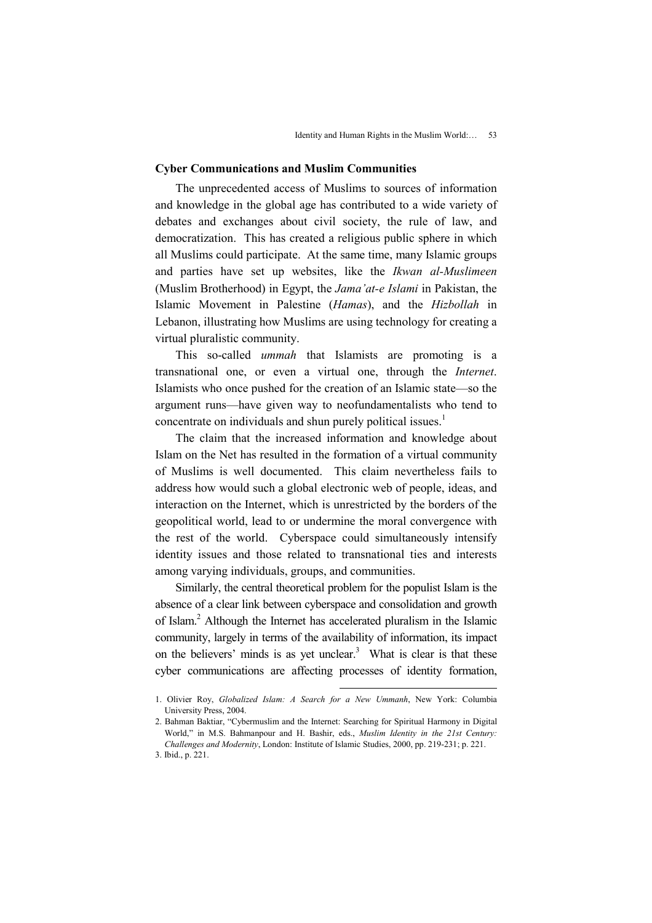## Cyber Communications and Muslim Communities

The unprecedented access of Muslims to sources of information and knowledge in the global age has contributed to a wide variety of debates and exchanges about civil society, the rule of law, and democratization. This has created a religious public sphere in which all Muslims could participate. At the same time, many Islamic groups and parties have set up websites, like the Ikwan al-Muslimeen (Muslim Brotherhood) in Egypt, the Jama'at-e Islami in Pakistan, the Islamic Movement in Palestine (Hamas), and the Hizbollah in Lebanon, illustrating how Muslims are using technology for creating a virtual pluralistic community.

This so-called ummah that Islamists are promoting is a transnational one, or even a virtual one, through the Internet. Islamists who once pushed for the creation of an Islamic state—so the argument runs—have given way to neofundamentalists who tend to concentrate on individuals and shun purely political issues.<sup>1</sup>

The claim that the increased information and knowledge about Islam on the Net has resulted in the formation of a virtual community of Muslims is well documented. This claim nevertheless fails to address how would such a global electronic web of people, ideas, and interaction on the Internet, which is unrestricted by the borders of the geopolitical world, lead to or undermine the moral convergence with the rest of the world. Cyberspace could simultaneously intensify identity issues and those related to transnational ties and interests among varying individuals, groups, and communities.

Similarly, the central theoretical problem for the populist Islam is the absence of a clear link between cyberspace and consolidation and growth of Islam.<sup>2</sup> Although the Internet has accelerated pluralism in the Islamic community, largely in terms of the availability of information, its impact on the believers' minds is as yet unclear.<sup>3</sup> What is clear is that these cyber communications are affecting processes of identity formation,

<sup>1.</sup> Olivier Roy, Globalized Islam: A Search for a New Ummanh, New York: Columbia University Press, 2004.

<sup>2.</sup> Bahman Baktiar, "Cybermuslim and the Internet: Searching for Spiritual Harmony in Digital World," in M.S. Bahmanpour and H. Bashir, eds., Muslim Identity in the 21st Century: Challenges and Modernity, London: Institute of Islamic Studies, 2000, pp. 219-231; p. 221.

<sup>3.</sup> Ibid., p. 221.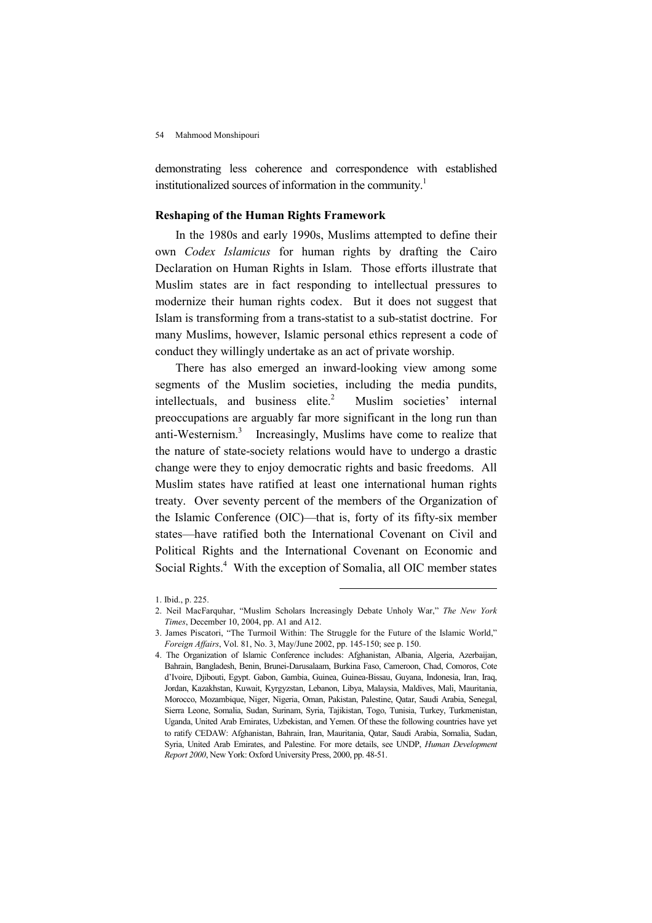demonstrating less coherence and correspondence with established institutionalized sources of information in the community.<sup>1</sup>

# Reshaping of the Human Rights Framework

In the 1980s and early 1990s, Muslims attempted to define their own Codex Islamicus for human rights by drafting the Cairo Declaration on Human Rights in Islam. Those efforts illustrate that Muslim states are in fact responding to intellectual pressures to modernize their human rights codex. But it does not suggest that Islam is transforming from a trans-statist to a sub-statist doctrine. For many Muslims, however, Islamic personal ethics represent a code of conduct they willingly undertake as an act of private worship.

There has also emerged an inward-looking view among some segments of the Muslim societies, including the media pundits, intellectuals, and business elite. $2$  Muslim societies' internal preoccupations are arguably far more significant in the long run than anti-Westernism.<sup>3</sup> Increasingly, Muslims have come to realize that the nature of state-society relations would have to undergo a drastic change were they to enjoy democratic rights and basic freedoms. All Muslim states have ratified at least one international human rights treaty. Over seventy percent of the members of the Organization of the Islamic Conference (OIC)—that is, forty of its fifty-six member states—have ratified both the International Covenant on Civil and Political Rights and the International Covenant on Economic and Social Rights.<sup>4</sup> With the exception of Somalia, all OIC member states

<sup>1.</sup> Ibid., p. 225.

<sup>2.</sup> Neil MacFarquhar, "Muslim Scholars Increasingly Debate Unholy War," The New York Times, December 10, 2004, pp. A1 and A12.

<sup>3.</sup> James Piscatori, "The Turmoil Within: The Struggle for the Future of the Islamic World," Foreign Affairs, Vol. 81, No. 3, May/June 2002, pp. 145-150; see p. 150.

<sup>4.</sup> The Organization of Islamic Conference includes: Afghanistan, Albania, Algeria, Azerbaijan, Bahrain, Bangladesh, Benin, Brunei-Darusalaam, Burkina Faso, Cameroon, Chad, Comoros, Cote d'Ivoire, Djibouti, Egypt. Gabon, Gambia, Guinea, Guinea-Bissau, Guyana, Indonesia, Iran, Iraq, Jordan, Kazakhstan, Kuwait, Kyrgyzstan, Lebanon, Libya, Malaysia, Maldives, Mali, Mauritania, Morocco, Mozambique, Niger, Nigeria, Oman, Pakistan, Palestine, Qatar, Saudi Arabia, Senegal, Sierra Leone, Somalia, Sudan, Surinam, Syria, Tajikistan, Togo, Tunisia, Turkey, Turkmenistan, Uganda, United Arab Emirates, Uzbekistan, and Yemen. Of these the following countries have yet to ratify CEDAW: Afghanistan, Bahrain, Iran, Mauritania, Qatar, Saudi Arabia, Somalia, Sudan, Syria, United Arab Emirates, and Palestine. For more details, see UNDP, Human Development Report 2000, New York: Oxford University Press, 2000, pp. 48-51.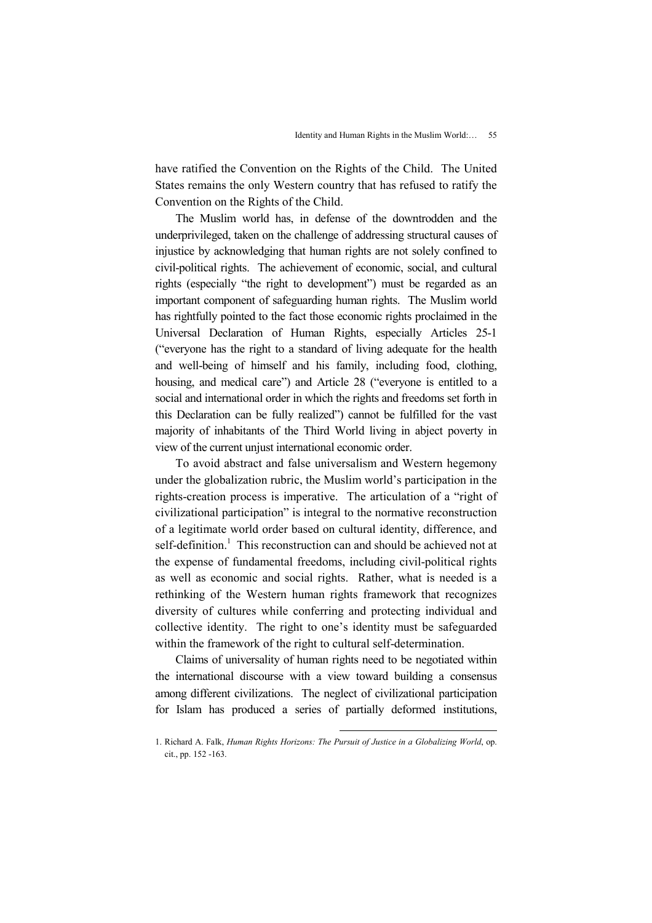have ratified the Convention on the Rights of the Child. The United States remains the only Western country that has refused to ratify the Convention on the Rights of the Child.

The Muslim world has, in defense of the downtrodden and the underprivileged, taken on the challenge of addressing structural causes of injustice by acknowledging that human rights are not solely confined to civil-political rights. The achievement of economic, social, and cultural rights (especially "the right to development") must be regarded as an important component of safeguarding human rights. The Muslim world has rightfully pointed to the fact those economic rights proclaimed in the Universal Declaration of Human Rights, especially Articles 25-1 ("everyone has the right to a standard of living adequate for the health and well-being of himself and his family, including food, clothing, housing, and medical care") and Article 28 ("everyone is entitled to a social and international order in which the rights and freedoms set forth in this Declaration can be fully realized") cannot be fulfilled for the vast majority of inhabitants of the Third World living in abject poverty in view of the current unjust international economic order.

To avoid abstract and false universalism and Western hegemony under the globalization rubric, the Muslim world's participation in the rights-creation process is imperative. The articulation of a "right of civilizational participation" is integral to the normative reconstruction of a legitimate world order based on cultural identity, difference, and self-definition.<sup>1</sup> This reconstruction can and should be achieved not at the expense of fundamental freedoms, including civil-political rights as well as economic and social rights. Rather, what is needed is a rethinking of the Western human rights framework that recognizes diversity of cultures while conferring and protecting individual and collective identity. The right to one's identity must be safeguarded within the framework of the right to cultural self-determination.

Claims of universality of human rights need to be negotiated within the international discourse with a view toward building a consensus among different civilizations. The neglect of civilizational participation for Islam has produced a series of partially deformed institutions,

<sup>1.</sup> Richard A. Falk, Human Rights Horizons: The Pursuit of Justice in a Globalizing World, op. cit., pp. 152 -163.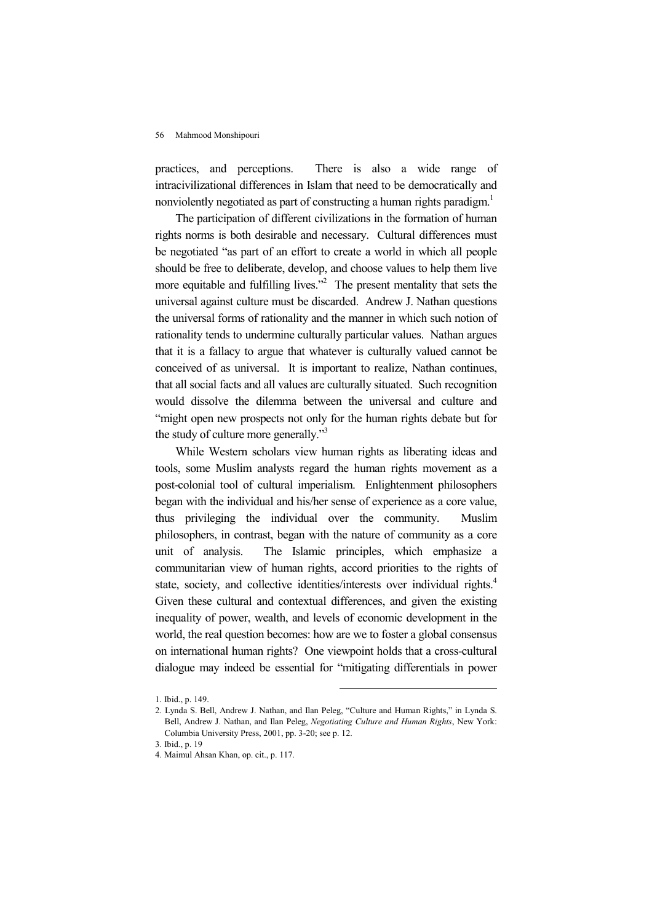practices, and perceptions. There is also a wide range of intracivilizational differences in Islam that need to be democratically and nonviolently negotiated as part of constructing a human rights paradigm.<sup>1</sup>

The participation of different civilizations in the formation of human rights norms is both desirable and necessary. Cultural differences must be negotiated "as part of an effort to create a world in which all people should be free to deliberate, develop, and choose values to help them live more equitable and fulfilling lives."<sup>2</sup> The present mentality that sets the universal against culture must be discarded. Andrew J. Nathan questions the universal forms of rationality and the manner in which such notion of rationality tends to undermine culturally particular values. Nathan argues that it is a fallacy to argue that whatever is culturally valued cannot be conceived of as universal. It is important to realize, Nathan continues, that all social facts and all values are culturally situated. Such recognition would dissolve the dilemma between the universal and culture and "might open new prospects not only for the human rights debate but for the study of culture more generally."<sup>3</sup>

While Western scholars view human rights as liberating ideas and tools, some Muslim analysts regard the human rights movement as a post-colonial tool of cultural imperialism. Enlightenment philosophers began with the individual and his/her sense of experience as a core value, thus privileging the individual over the community. Muslim philosophers, in contrast, began with the nature of community as a core unit of analysis. The Islamic principles, which emphasize a communitarian view of human rights, accord priorities to the rights of state, society, and collective identities/interests over individual rights.<sup>4</sup> Given these cultural and contextual differences, and given the existing inequality of power, wealth, and levels of economic development in the world, the real question becomes: how are we to foster a global consensus on international human rights? One viewpoint holds that a cross-cultural dialogue may indeed be essential for "mitigating differentials in power

<sup>1.</sup> Ibid., p. 149.

<sup>2.</sup> Lynda S. Bell, Andrew J. Nathan, and Ilan Peleg, "Culture and Human Rights," in Lynda S. Bell, Andrew J. Nathan, and Ilan Peleg, Negotiating Culture and Human Rights, New York: Columbia University Press, 2001, pp. 3-20; see p. 12.

<sup>3.</sup> Ibid., p. 19

<sup>4.</sup> Maimul Ahsan Khan, op. cit., p. 117.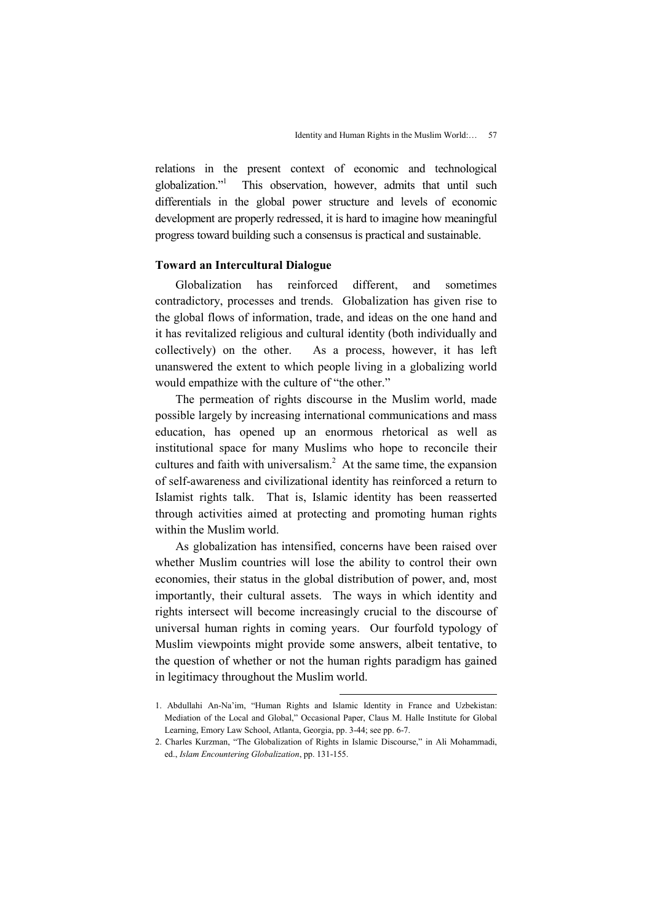relations in the present context of economic and technological globalization."<sup>1</sup> This observation, however, admits that until such differentials in the global power structure and levels of economic development are properly redressed, it is hard to imagine how meaningful progress toward building such a consensus is practical and sustainable.

# Toward an Intercultural Dialogue

Globalization has reinforced different, and sometimes contradictory, processes and trends. Globalization has given rise to the global flows of information, trade, and ideas on the one hand and it has revitalized religious and cultural identity (both individually and collectively) on the other. As a process, however, it has left unanswered the extent to which people living in a globalizing world would empathize with the culture of "the other."

The permeation of rights discourse in the Muslim world, made possible largely by increasing international communications and mass education, has opened up an enormous rhetorical as well as institutional space for many Muslims who hope to reconcile their cultures and faith with universalism.<sup>2</sup> At the same time, the expansion of self-awareness and civilizational identity has reinforced a return to Islamist rights talk. That is, Islamic identity has been reasserted through activities aimed at protecting and promoting human rights within the Muslim world.

As globalization has intensified, concerns have been raised over whether Muslim countries will lose the ability to control their own economies, their status in the global distribution of power, and, most importantly, their cultural assets. The ways in which identity and rights intersect will become increasingly crucial to the discourse of universal human rights in coming years. Our fourfold typology of Muslim viewpoints might provide some answers, albeit tentative, to the question of whether or not the human rights paradigm has gained in legitimacy throughout the Muslim world.

<sup>1.</sup> Abdullahi An-Na'im, "Human Rights and Islamic Identity in France and Uzbekistan: Mediation of the Local and Global," Occasional Paper, Claus M. Halle Institute for Global Learning, Emory Law School, Atlanta, Georgia, pp. 3-44; see pp. 6-7.

<sup>2.</sup> Charles Kurzman, "The Globalization of Rights in Islamic Discourse," in Ali Mohammadi, ed., Islam Encountering Globalization, pp. 131-155.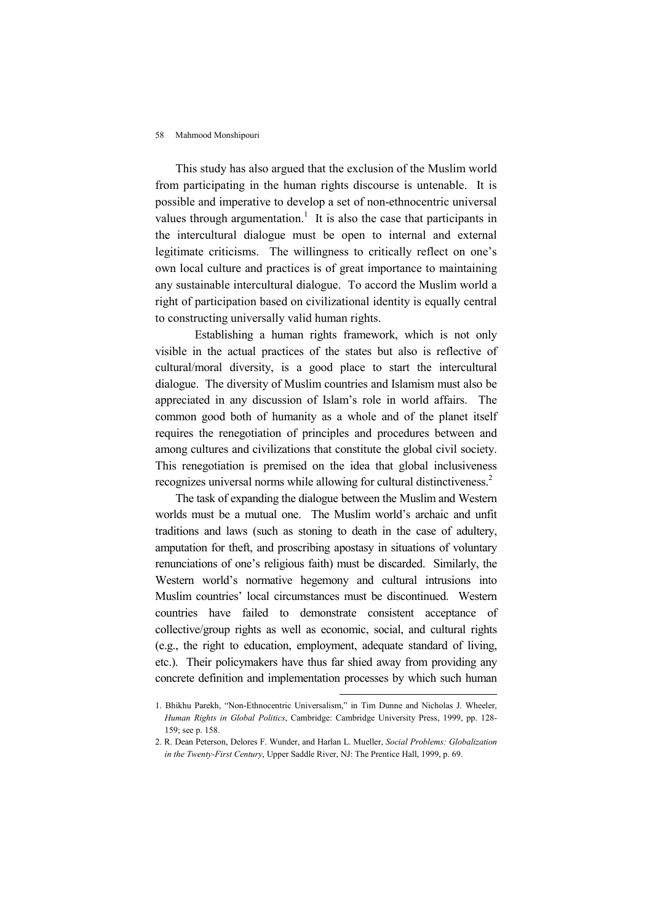This study has also argued that the exclusion of the Muslim world from participating in the human rights discourse is untenable. It is possible and imperative to develop a set of non-ethnocentric universal values through argumentation.<sup>1</sup> It is also the case that participants in the intercultural dialogue must be open to internal and external legitimate criticisms. The willingness to critically reflect on one's own local culture and practices is of great importance to maintaining any sustainable intercultural dialogue. To accord the Muslim world a right of participation based on civilizational identity is equally central to constructing universally valid human rights.

 Establishing a human rights framework, which is not only visible in the actual practices of the states but also is reflective of cultural/moral diversity, is a good place to start the intercultural dialogue. The diversity of Muslim countries and Islamism must also be appreciated in any discussion of Islam's role in world affairs. The common good both of humanity as a whole and of the planet itself requires the renegotiation of principles and procedures between and among cultures and civilizations that constitute the global civil society. This renegotiation is premised on the idea that global inclusiveness recognizes universal norms while allowing for cultural distinctiveness.<sup>2</sup>

The task of expanding the dialogue between the Muslim and Western worlds must be a mutual one. The Muslim world's archaic and unfit traditions and laws (such as stoning to death in the case of adultery, amputation for theft, and proscribing apostasy in situations of voluntary renunciations of one's religious faith) must be discarded. Similarly, the Western world's normative hegemony and cultural intrusions into Muslim countries' local circumstances must be discontinued. Western countries have failed to demonstrate consistent acceptance of collective/group rights as well as economic, social, and cultural rights (e.g., the right to education, employment, adequate standard of living, etc.). Their policymakers have thus far shied away from providing any concrete definition and implementation processes by which such human

<sup>1.</sup> Bhikhu Parekh, "Non-Ethnocentric Universalism," in Tim Dunne and Nicholas J. Wheeler, Human Rights in Global Politics, Cambridge: Cambridge University Press, 1999, pp. 128- 159; see p. 158.

<sup>2.</sup> R. Dean Peterson, Delores F. Wunder, and Harlan L. Mueller, Social Problems: Globalization in the Twenty-First Century, Upper Saddle River, NJ: The Prentice Hall, 1999, p. 69.